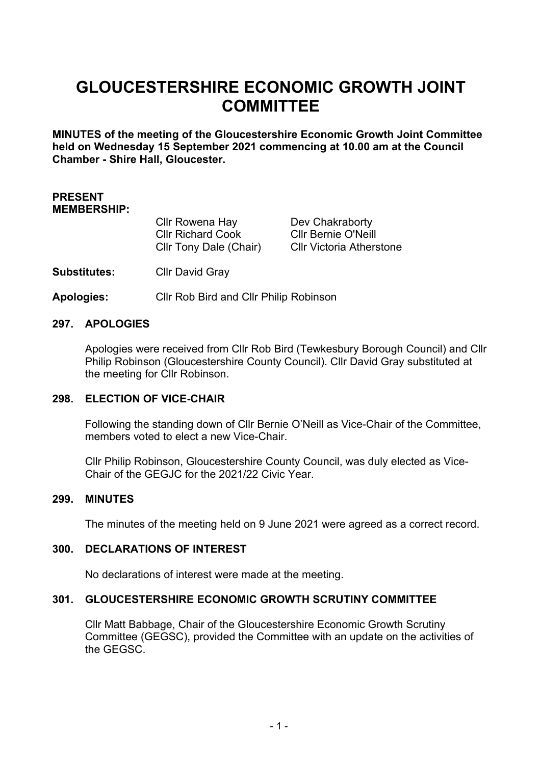# **GLOUCESTERSHIRE ECONOMIC GROWTH JOINT COMMITTEE**

**MINUTES of the meeting of the Gloucestershire Economic Growth Joint Committee held on Wednesday 15 September 2021 commencing at 10.00 am at the Council Chamber - Shire Hall, Gloucester.**

#### **PRESENT MEMBERSHIP:**

Cllr Rowena Hay Cllr Richard Cook Cllr Tony Dale (Chair) Dev Chakraborty Cllr Bernie O'Neill Cllr Victoria Atherstone

**Substitutes:** Cllr David Gray

**Apologies:** Cllr Rob Bird and Cllr Philip Robinson

#### **297. APOLOGIES**

Apologies were received from Cllr Rob Bird (Tewkesbury Borough Council) and Cllr Philip Robinson (Gloucestershire County Council). Cllr David Gray substituted at the meeting for Cllr Robinson.

#### **298. ELECTION OF VICE-CHAIR**

Following the standing down of Cllr Bernie O'Neill as Vice-Chair of the Committee, members voted to elect a new Vice-Chair.

Cllr Philip Robinson, Gloucestershire County Council, was duly elected as Vice-Chair of the GEGJC for the 2021/22 Civic Year.

#### **299. MINUTES**

The minutes of the meeting held on 9 June 2021 were agreed as a correct record.

#### **300. DECLARATIONS OF INTEREST**

No declarations of interest were made at the meeting.

#### **301. GLOUCESTERSHIRE ECONOMIC GROWTH SCRUTINY COMMITTEE**

Cllr Matt Babbage, Chair of the Gloucestershire Economic Growth Scrutiny Committee (GEGSC), provided the Committee with an update on the activities of the GEGSC.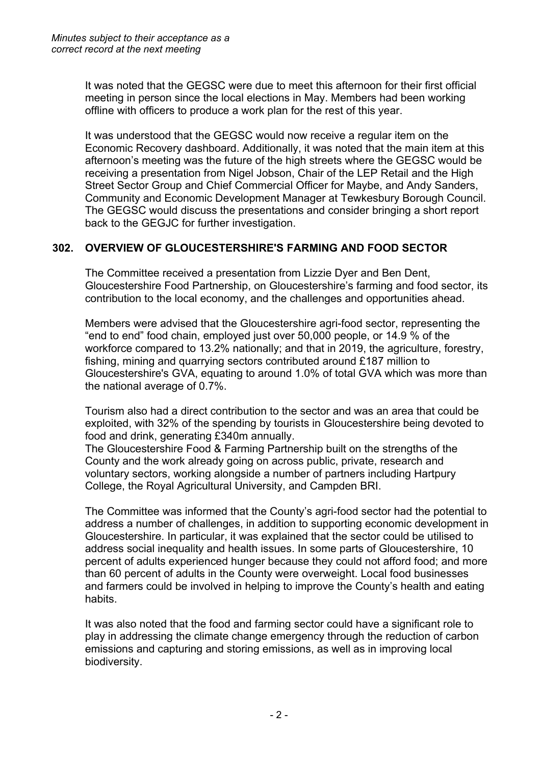It was noted that the GEGSC were due to meet this afternoon for their first official meeting in person since the local elections in May. Members had been working offline with officers to produce a work plan for the rest of this year.

It was understood that the GEGSC would now receive a regular item on the Economic Recovery dashboard. Additionally, it was noted that the main item at this afternoon's meeting was the future of the high streets where the GEGSC would be receiving a presentation from Nigel Jobson, Chair of the LEP Retail and the High Street Sector Group and Chief Commercial Officer for Maybe, and Andy Sanders, Community and Economic Development Manager at Tewkesbury Borough Council. The GEGSC would discuss the presentations and consider bringing a short report back to the GEGJC for further investigation.

### **302. OVERVIEW OF GLOUCESTERSHIRE'S FARMING AND FOOD SECTOR**

The Committee received a presentation from Lizzie Dyer and Ben Dent, Gloucestershire Food Partnership, on Gloucestershire's farming and food sector, its contribution to the local economy, and the challenges and opportunities ahead.

Members were advised that the Gloucestershire agri-food sector, representing the "end to end" food chain, employed just over 50,000 people, or 14.9 % of the workforce compared to 13.2% nationally; and that in 2019, the agriculture, forestry, fishing, mining and quarrying sectors contributed around £187 million to Gloucestershire's GVA, equating to around 1.0% of total GVA which was more than the national average of 0.7%.

Tourism also had a direct contribution to the sector and was an area that could be exploited, with 32% of the spending by tourists in Gloucestershire being devoted to food and drink, generating £340m annually.

The Gloucestershire Food & Farming Partnership built on the strengths of the County and the work already going on across public, private, research and voluntary sectors, working alongside a number of partners including Hartpury College, the Royal Agricultural University, and Campden BRI.

The Committee was informed that the County's agri-food sector had the potential to address a number of challenges, in addition to supporting economic development in Gloucestershire. In particular, it was explained that the sector could be utilised to address social inequality and health issues. In some parts of Gloucestershire, 10 percent of adults experienced hunger because they could not afford food; and more than 60 percent of adults in the County were overweight. Local food businesses and farmers could be involved in helping to improve the County's health and eating habits.

It was also noted that the food and farming sector could have a significant role to play in addressing the climate change emergency through the reduction of carbon emissions and capturing and storing emissions, as well as in improving local biodiversity.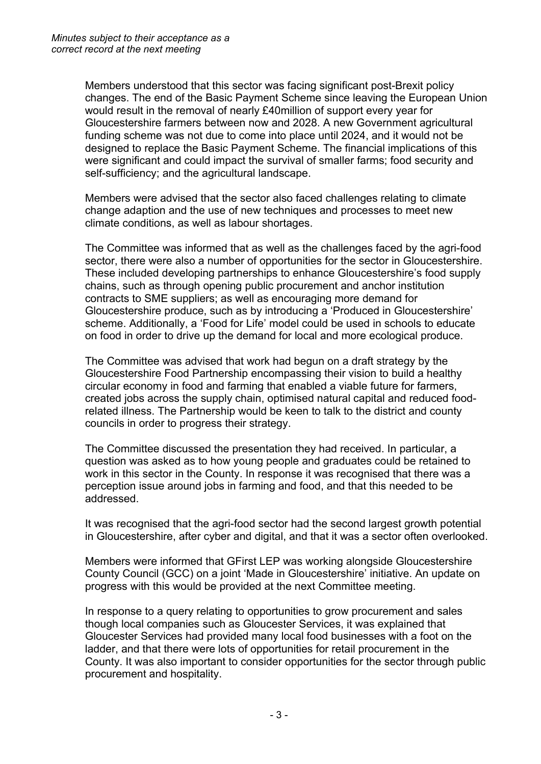Members understood that this sector was facing significant post-Brexit policy changes. The end of the Basic Payment Scheme since leaving the European Union would result in the removal of nearly £40million of support every year for Gloucestershire farmers between now and 2028. A new Government agricultural funding scheme was not due to come into place until 2024, and it would not be designed to replace the Basic Payment Scheme. The financial implications of this were significant and could impact the survival of smaller farms; food security and self-sufficiency; and the agricultural landscape.

Members were advised that the sector also faced challenges relating to climate change adaption and the use of new techniques and processes to meet new climate conditions, as well as labour shortages.

The Committee was informed that as well as the challenges faced by the agri-food sector, there were also a number of opportunities for the sector in Gloucestershire. These included developing partnerships to enhance Gloucestershire's food supply chains, such as through opening public procurement and anchor institution contracts to SME suppliers; as well as encouraging more demand for Gloucestershire produce, such as by introducing a 'Produced in Gloucestershire' scheme. Additionally, a 'Food for Life' model could be used in schools to educate on food in order to drive up the demand for local and more ecological produce.

The Committee was advised that work had begun on a draft strategy by the Gloucestershire Food Partnership encompassing their vision to build a healthy circular economy in food and farming that enabled a viable future for farmers, created jobs across the supply chain, optimised natural capital and reduced foodrelated illness. The Partnership would be keen to talk to the district and county councils in order to progress their strategy.

The Committee discussed the presentation they had received. In particular, a question was asked as to how young people and graduates could be retained to work in this sector in the County. In response it was recognised that there was a perception issue around jobs in farming and food, and that this needed to be addressed.

It was recognised that the agri-food sector had the second largest growth potential in Gloucestershire, after cyber and digital, and that it was a sector often overlooked.

Members were informed that GFirst LEP was working alongside Gloucestershire County Council (GCC) on a joint 'Made in Gloucestershire' initiative. An update on progress with this would be provided at the next Committee meeting.

In response to a query relating to opportunities to grow procurement and sales though local companies such as Gloucester Services, it was explained that Gloucester Services had provided many local food businesses with a foot on the ladder, and that there were lots of opportunities for retail procurement in the County. It was also important to consider opportunities for the sector through public procurement and hospitality.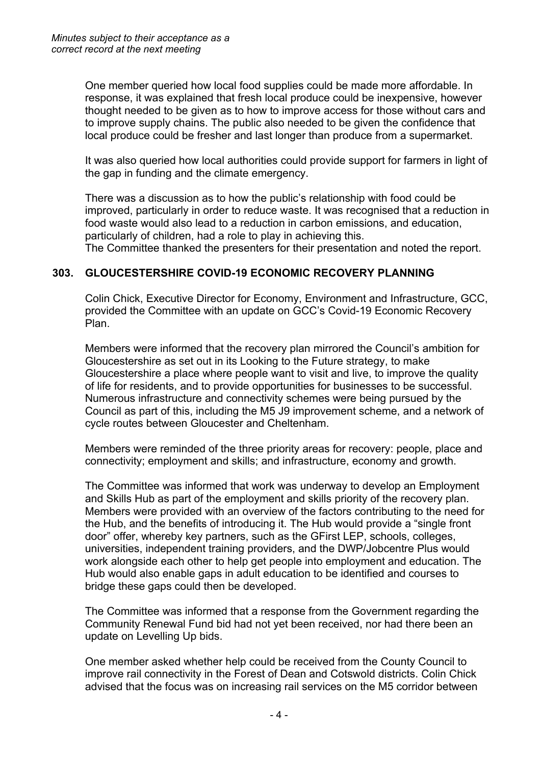One member queried how local food supplies could be made more affordable. In response, it was explained that fresh local produce could be inexpensive, however thought needed to be given as to how to improve access for those without cars and to improve supply chains. The public also needed to be given the confidence that local produce could be fresher and last longer than produce from a supermarket.

It was also queried how local authorities could provide support for farmers in light of the gap in funding and the climate emergency.

There was a discussion as to how the public's relationship with food could be improved, particularly in order to reduce waste. It was recognised that a reduction in food waste would also lead to a reduction in carbon emissions, and education, particularly of children, had a role to play in achieving this. The Committee thanked the presenters for their presentation and noted the report.

#### **303. GLOUCESTERSHIRE COVID-19 ECONOMIC RECOVERY PLANNING**

Colin Chick, Executive Director for Economy, Environment and Infrastructure, GCC, provided the Committee with an update on GCC's Covid-19 Economic Recovery Plan.

Members were informed that the recovery plan mirrored the Council's ambition for Gloucestershire as set out in its Looking to the Future strategy, to make Gloucestershire a place where people want to visit and live, to improve the quality of life for residents, and to provide opportunities for businesses to be successful. Numerous infrastructure and connectivity schemes were being pursued by the Council as part of this, including the M5 J9 improvement scheme, and a network of cycle routes between Gloucester and Cheltenham.

Members were reminded of the three priority areas for recovery: people, place and connectivity; employment and skills; and infrastructure, economy and growth.

The Committee was informed that work was underway to develop an Employment and Skills Hub as part of the employment and skills priority of the recovery plan. Members were provided with an overview of the factors contributing to the need for the Hub, and the benefits of introducing it. The Hub would provide a "single front door" offer, whereby key partners, such as the GFirst LEP, schools, colleges, universities, independent training providers, and the DWP/Jobcentre Plus would work alongside each other to help get people into employment and education. The Hub would also enable gaps in adult education to be identified and courses to bridge these gaps could then be developed.

The Committee was informed that a response from the Government regarding the Community Renewal Fund bid had not yet been received, nor had there been an update on Levelling Up bids.

One member asked whether help could be received from the County Council to improve rail connectivity in the Forest of Dean and Cotswold districts. Colin Chick advised that the focus was on increasing rail services on the M5 corridor between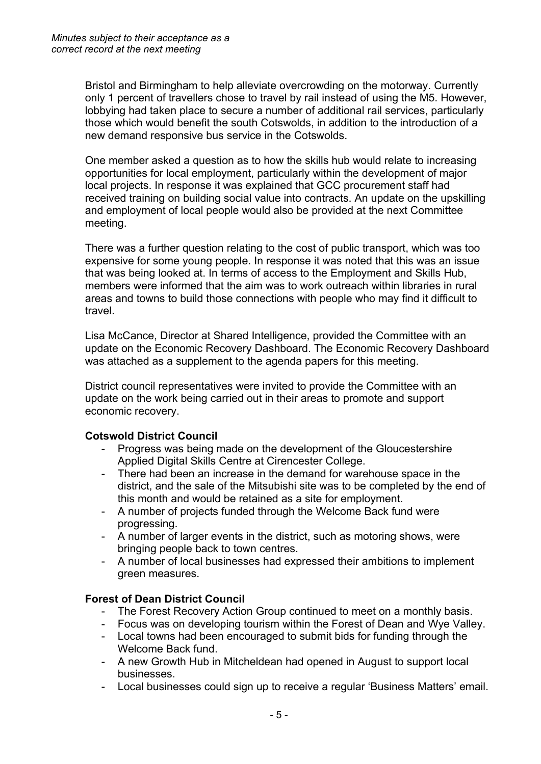Bristol and Birmingham to help alleviate overcrowding on the motorway. Currently only 1 percent of travellers chose to travel by rail instead of using the M5. However, lobbying had taken place to secure a number of additional rail services, particularly those which would benefit the south Cotswolds, in addition to the introduction of a new demand responsive bus service in the Cotswolds.

One member asked a question as to how the skills hub would relate to increasing opportunities for local employment, particularly within the development of major local projects. In response it was explained that GCC procurement staff had received training on building social value into contracts. An update on the upskilling and employment of local people would also be provided at the next Committee meeting.

There was a further question relating to the cost of public transport, which was too expensive for some young people. In response it was noted that this was an issue that was being looked at. In terms of access to the Employment and Skills Hub, members were informed that the aim was to work outreach within libraries in rural areas and towns to build those connections with people who may find it difficult to travel.

Lisa McCance, Director at Shared Intelligence, provided the Committee with an update on the Economic Recovery Dashboard. The Economic Recovery Dashboard was attached as a supplement to the agenda papers for this meeting.

District council representatives were invited to provide the Committee with an update on the work being carried out in their areas to promote and support economic recovery.

# **Cotswold District Council**

- Progress was being made on the development of the Gloucestershire Applied Digital Skills Centre at Cirencester College.
- There had been an increase in the demand for warehouse space in the district, and the sale of the Mitsubishi site was to be completed by the end of this month and would be retained as a site for employment.
- A number of projects funded through the Welcome Back fund were progressing.
- A number of larger events in the district, such as motoring shows, were bringing people back to town centres.
- A number of local businesses had expressed their ambitions to implement green measures.

# **Forest of Dean District Council**

- The Forest Recovery Action Group continued to meet on a monthly basis.
- Focus was on developing tourism within the Forest of Dean and Wye Valley.
- Local towns had been encouraged to submit bids for funding through the Welcome Back fund.
- A new Growth Hub in Mitcheldean had opened in August to support local businesses.
- Local businesses could sign up to receive a regular 'Business Matters' email.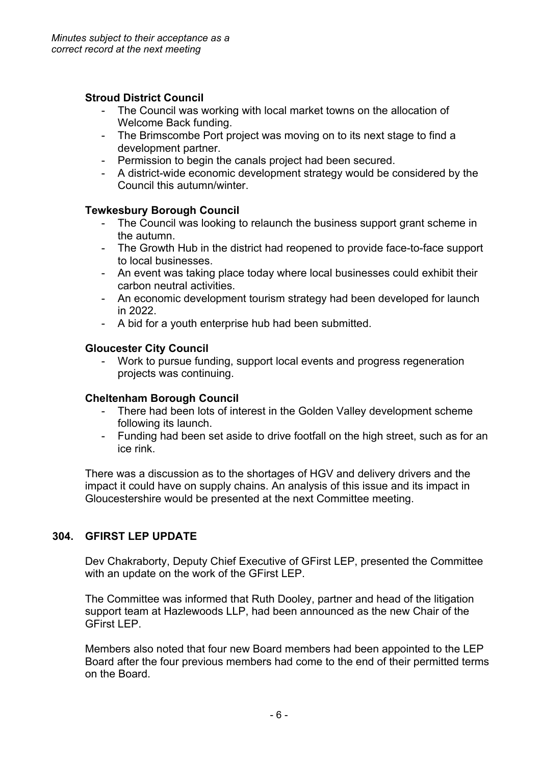# **Stroud District Council**

- The Council was working with local market towns on the allocation of Welcome Back funding.
- The Brimscombe Port project was moving on to its next stage to find a development partner.
- Permission to begin the canals project had been secured.
- A district-wide economic development strategy would be considered by the Council this autumn/winter.

# **Tewkesbury Borough Council**

- The Council was looking to relaunch the business support grant scheme in the autumn.
- The Growth Hub in the district had reopened to provide face-to-face support to local businesses.
- An event was taking place today where local businesses could exhibit their carbon neutral activities.
- An economic development tourism strategy had been developed for launch in 2022.
- A bid for a youth enterprise hub had been submitted.

# **Gloucester City Council**

- Work to pursue funding, support local events and progress regeneration projects was continuing.

#### **Cheltenham Borough Council**

- There had been lots of interest in the Golden Valley development scheme following its launch.
- Funding had been set aside to drive footfall on the high street, such as for an ice rink.

There was a discussion as to the shortages of HGV and delivery drivers and the impact it could have on supply chains. An analysis of this issue and its impact in Gloucestershire would be presented at the next Committee meeting.

# **304. GFIRST LEP UPDATE**

Dev Chakraborty, Deputy Chief Executive of GFirst LEP, presented the Committee with an update on the work of the GFirst LEP.

The Committee was informed that Ruth Dooley, partner and head of the litigation support team at Hazlewoods LLP, had been announced as the new Chair of the GFirst LEP.

Members also noted that four new Board members had been appointed to the LEP Board after the four previous members had come to the end of their permitted terms on the Board.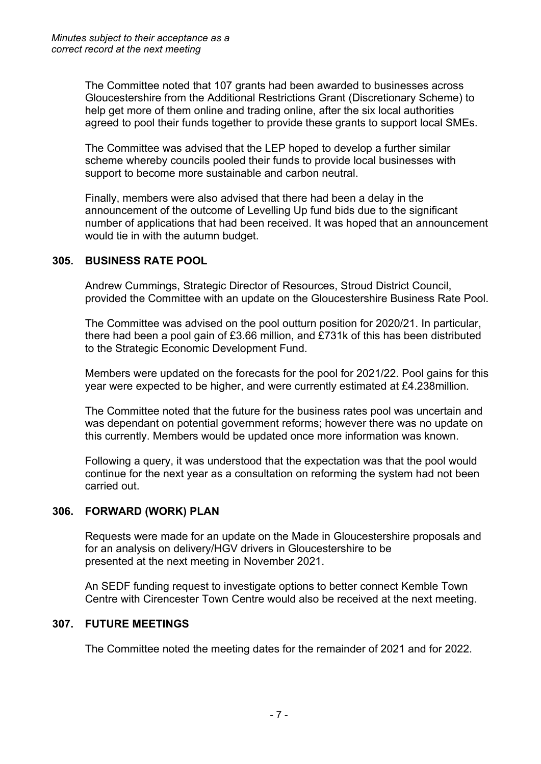The Committee noted that 107 grants had been awarded to businesses across Gloucestershire from the Additional Restrictions Grant (Discretionary Scheme) to help get more of them online and trading online, after the six local authorities agreed to pool their funds together to provide these grants to support local SMEs.

The Committee was advised that the LEP hoped to develop a further similar scheme whereby councils pooled their funds to provide local businesses with support to become more sustainable and carbon neutral.

Finally, members were also advised that there had been a delay in the announcement of the outcome of Levelling Up fund bids due to the significant number of applications that had been received. It was hoped that an announcement would tie in with the autumn budget.

### **305. BUSINESS RATE POOL**

Andrew Cummings, Strategic Director of Resources, Stroud District Council, provided the Committee with an update on the Gloucestershire Business Rate Pool.

The Committee was advised on the pool outturn position for 2020/21. In particular, there had been a pool gain of £3.66 million, and £731k of this has been distributed to the Strategic Economic Development Fund.

Members were updated on the forecasts for the pool for 2021/22. Pool gains for this year were expected to be higher, and were currently estimated at £4.238million.

The Committee noted that the future for the business rates pool was uncertain and was dependant on potential government reforms; however there was no update on this currently. Members would be updated once more information was known.

Following a query, it was understood that the expectation was that the pool would continue for the next year as a consultation on reforming the system had not been carried out.

# **306. FORWARD (WORK) PLAN**

Requests were made for an update on the Made in Gloucestershire proposals and for an analysis on delivery/HGV drivers in Gloucestershire to be presented at the next meeting in November 2021.

An SEDF funding request to investigate options to better connect Kemble Town Centre with Cirencester Town Centre would also be received at the next meeting.

#### **307. FUTURE MEETINGS**

The Committee noted the meeting dates for the remainder of 2021 and for 2022.